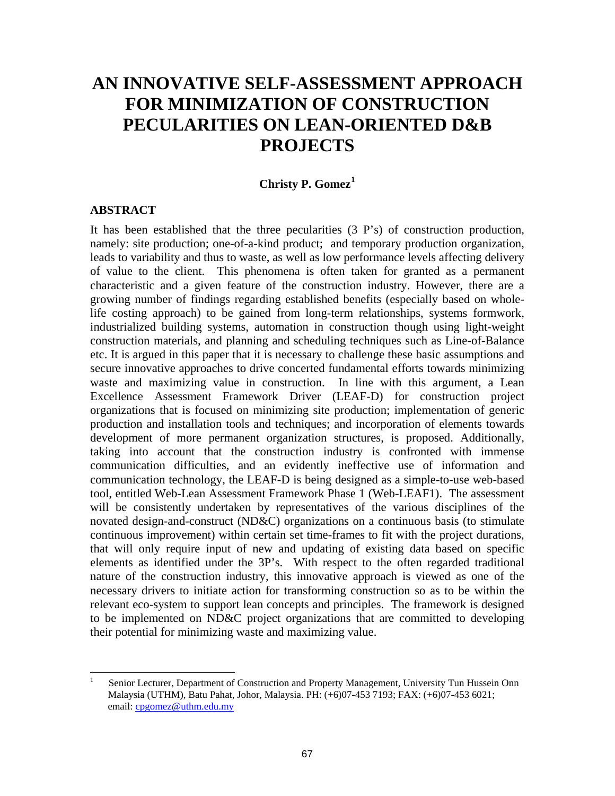# **AN INNOVATIVE SELF-ASSESSMENT APPROACH FOR MINIMIZATION OF CONSTRUCTION PECULARITIES ON LEAN-ORIENTED D&B PROJECTS**

# **Christy P. Gomez[1](#page-0-0)**

#### **ABSTRACT**

It has been established that the three pecularities (3 P's) of construction production, namely: site production; one-of-a-kind product; and temporary production organization, leads to variability and thus to waste, as well as low performance levels affecting delivery of value to the client. This phenomena is often taken for granted as a permanent characteristic and a given feature of the construction industry. However, there are a growing number of findings regarding established benefits (especially based on wholelife costing approach) to be gained from long-term relationships, systems formwork, industrialized building systems, automation in construction though using light-weight construction materials, and planning and scheduling techniques such as Line-of-Balance etc. It is argued in this paper that it is necessary to challenge these basic assumptions and secure innovative approaches to drive concerted fundamental efforts towards minimizing waste and maximizing value in construction. In line with this argument, a Lean Excellence Assessment Framework Driver (LEAF-D) for construction project organizations that is focused on minimizing site production; implementation of generic production and installation tools and techniques; and incorporation of elements towards development of more permanent organization structures, is proposed. Additionally, taking into account that the construction industry is confronted with immense communication difficulties, and an evidently ineffective use of information and communication technology, the LEAF-D is being designed as a simple-to-use web-based tool, entitled Web-Lean Assessment Framework Phase 1 (Web-LEAF1). The assessment will be consistently undertaken by representatives of the various disciplines of the novated design-and-construct (ND&C) organizations on a continuous basis (to stimulate continuous improvement) within certain set time-frames to fit with the project durations, that will only require input of new and updating of existing data based on specific elements as identified under the 3P's. With respect to the often regarded traditional nature of the construction industry, this innovative approach is viewed as one of the necessary drivers to initiate action for transforming construction so as to be within the relevant eco-system to support lean concepts and principles. The framework is designed to be implemented on ND&C project organizations that are committed to developing their potential for minimizing waste and maximizing value.

<span id="page-0-0"></span> $\frac{1}{1}$  Senior Lecturer, Department of Construction and Property Management, University Tun Hussein Onn Malaysia (UTHM), Batu Pahat, Johor, Malaysia. PH: (+6)07-453 7193; FAX: (+6)07-453 6021; email: [cpgomez@uthm.edu.my](mailto:cpgomez@uthm.edu.my)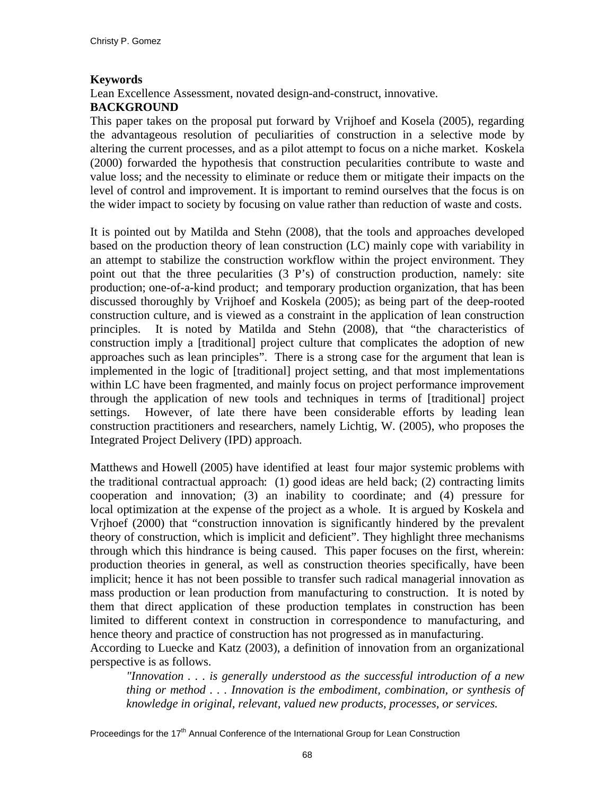#### **Keywords**

Lean Excellence Assessment, novated design-and-construct, innovative.

#### **BACKGROUND**

This paper takes on the proposal put forward by Vrijhoef and Kosela (2005), regarding the advantageous resolution of peculiarities of construction in a selective mode by altering the current processes, and as a pilot attempt to focus on a niche market. Koskela (2000) forwarded the hypothesis that construction pecularities contribute to waste and value loss; and the necessity to eliminate or reduce them or mitigate their impacts on the level of control and improvement. It is important to remind ourselves that the focus is on the wider impact to society by focusing on value rather than reduction of waste and costs.

It is pointed out by Matilda and Stehn (2008), that the tools and approaches developed based on the production theory of lean construction (LC) mainly cope with variability in an attempt to stabilize the construction workflow within the project environment. They point out that the three pecularities (3 P's) of construction production, namely: site production; one-of-a-kind product; and temporary production organization, that has been discussed thoroughly by Vrijhoef and Koskela (2005); as being part of the deep-rooted construction culture, and is viewed as a constraint in the application of lean construction principles. It is noted by Matilda and Stehn (2008), that "the characteristics of construction imply a [traditional] project culture that complicates the adoption of new approaches such as lean principles". There is a strong case for the argument that lean is implemented in the logic of [traditional] project setting, and that most implementations within LC have been fragmented, and mainly focus on project performance improvement through the application of new tools and techniques in terms of [traditional] project settings. However, of late there have been considerable efforts by leading lean construction practitioners and researchers, namely Lichtig, W. (2005), who proposes the Integrated Project Delivery (IPD) approach.

Matthews and Howell (2005) have identified at least four major systemic problems with the traditional contractual approach: (1) good ideas are held back; (2) contracting limits cooperation and innovation; (3) an inability to coordinate; and (4) pressure for local optimization at the expense of the project as a whole. It is argued by Koskela and Vrjhoef (2000) that "construction innovation is significantly hindered by the prevalent theory of construction, which is implicit and deficient". They highlight three mechanisms through which this hindrance is being caused. This paper focuses on the first, wherein: production theories in general, as well as construction theories specifically, have been implicit; hence it has not been possible to transfer such radical managerial innovation as mass production or lean production from manufacturing to construction. It is noted by them that direct application of these production templates in construction has been limited to different context in construction in correspondence to manufacturing, and hence theory and practice of construction has not progressed as in manufacturing.

According to Luecke and Katz (2003), a definition of innovation from an organizational perspective is as follows.

*"Innovation . . . is generally understood as the successful introduction of a new thing or method . . . Innovation is the embodiment, combination, or synthesis of knowledge in original, relevant, valued new products, processes, or services.*

Proceedings for the  $17<sup>th</sup>$  Annual Conference of the International Group for Lean Construction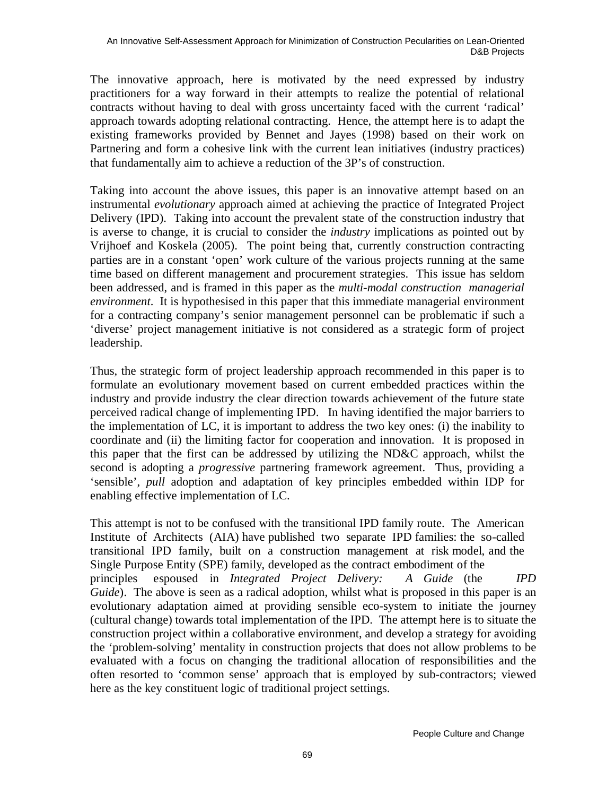The innovative approach, here is motivated by the need expressed by industry practitioners for a way forward in their attempts to realize the potential of relational contracts without having to deal with gross uncertainty faced with the current 'radical' approach towards adopting relational contracting. Hence, the attempt here is to adapt the existing frameworks provided by Bennet and Jayes (1998) based on their work on Partnering and form a cohesive link with the current lean initiatives (industry practices) that fundamentally aim to achieve a reduction of the 3P's of construction.

Taking into account the above issues, this paper is an innovative attempt based on an instrumental *evolutionary* approach aimed at achieving the practice of Integrated Project Delivery (IPD). Taking into account the prevalent state of the construction industry that is averse to change, it is crucial to consider the *industry* implications as pointed out by Vrijhoef and Koskela (2005). The point being that, currently construction contracting parties are in a constant 'open' work culture of the various projects running at the same time based on different management and procurement strategies. This issue has seldom been addressed, and is framed in this paper as the *multi-modal construction managerial environment*. It is hypothesised in this paper that this immediate managerial environment for a contracting company's senior management personnel can be problematic if such a 'diverse' project management initiative is not considered as a strategic form of project leadership.

Thus, the strategic form of project leadership approach recommended in this paper is to formulate an evolutionary movement based on current embedded practices within the industry and provide industry the clear direction towards achievement of the future state perceived radical change of implementing IPD. In having identified the major barriers to the implementation of LC, it is important to address the two key ones: (i) the inability to coordinate and (ii) the limiting factor for cooperation and innovation. It is proposed in this paper that the first can be addressed by utilizing the ND&C approach, whilst the second is adopting a *progressive* partnering framework agreement. Thus, providing a 'sensible', *pull* adoption and adaptation of key principles embedded within IDP for enabling effective implementation of LC.

This attempt is not to be confused with the transitional IPD family route. The American Institute of Architects (AIA) have published two separate IPD families: the so-called transitional IPD family, built on a construction management at risk model, and the Single Purpose Entity (SPE) family, developed as the contract embodiment of the principles espoused in *Integrated Project Delivery: A Guide* (the *IPD Guide*). The above is seen as a radical adoption, whilst what is proposed in this paper is an evolutionary adaptation aimed at providing sensible eco-system to initiate the journey (cultural change) towards total implementation of the IPD. The attempt here is to situate the construction project within a collaborative environment, and develop a strategy for avoiding the 'problem-solving' mentality in construction projects that does not allow problems to be evaluated with a focus on changing the traditional allocation of responsibilities and the often resorted to 'common sense' approach that is employed by sub-contractors; viewed here as the key constituent logic of traditional project settings.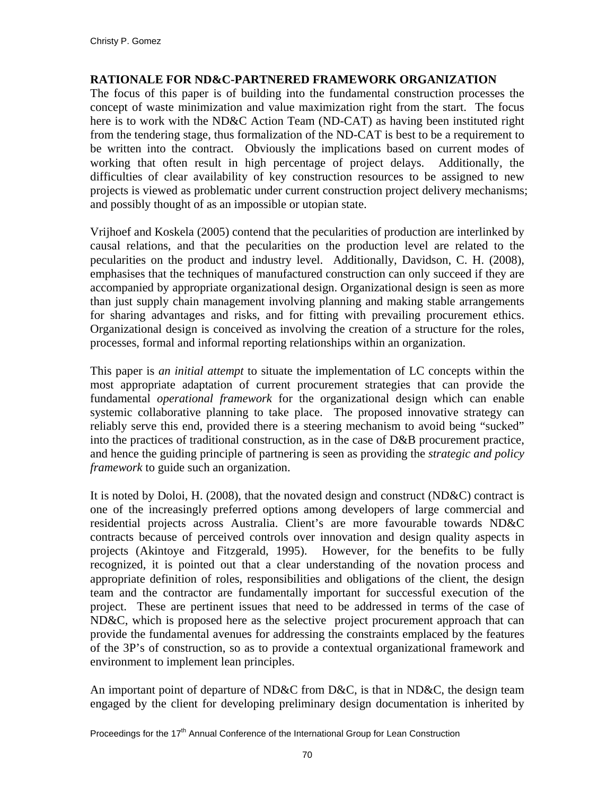#### **RATIONALE FOR ND&C-PARTNERED FRAMEWORK ORGANIZATION**

The focus of this paper is of building into the fundamental construction processes the concept of waste minimization and value maximization right from the start. The focus here is to work with the ND&C Action Team (ND-CAT) as having been instituted right from the tendering stage, thus formalization of the ND-CAT is best to be a requirement to be written into the contract. Obviously the implications based on current modes of working that often result in high percentage of project delays. Additionally, the difficulties of clear availability of key construction resources to be assigned to new projects is viewed as problematic under current construction project delivery mechanisms; and possibly thought of as an impossible or utopian state.

Vrijhoef and Koskela (2005) contend that the pecularities of production are interlinked by causal relations, and that the pecularities on the production level are related to the pecularities on the product and industry level. Additionally, Davidson, C. H. (2008), emphasises that the techniques of manufactured construction can only succeed if they are accompanied by appropriate organizational design. Organizational design is seen as more than just supply chain management involving planning and making stable arrangements for sharing advantages and risks, and for fitting with prevailing procurement ethics. Organizational design is conceived as involving the creation of a structure for the roles, processes, formal and informal reporting relationships within an organization.

This paper is *an initial attempt* to situate the implementation of LC concepts within the most appropriate adaptation of current procurement strategies that can provide the fundamental *operational framework* for the organizational design which can enable systemic collaborative planning to take place. The proposed innovative strategy can reliably serve this end, provided there is a steering mechanism to avoid being "sucked" into the practices of traditional construction, as in the case of D&B procurement practice, and hence the guiding principle of partnering is seen as providing the *strategic and policy framework* to guide such an organization.

It is noted by Doloi, H. (2008), that the novated design and construct (ND&C) contract is one of the increasingly preferred options among developers of large commercial and residential projects across Australia. Client's are more favourable towards ND&C contracts because of perceived controls over innovation and design quality aspects in projects (Akintoye and Fitzgerald, 1995). However, for the benefits to be fully recognized, it is pointed out that a clear understanding of the novation process and appropriate definition of roles, responsibilities and obligations of the client, the design team and the contractor are fundamentally important for successful execution of the project. These are pertinent issues that need to be addressed in terms of the case of ND&C, which is proposed here as the selective project procurement approach that can provide the fundamental avenues for addressing the constraints emplaced by the features of the 3P's of construction, so as to provide a contextual organizational framework and environment to implement lean principles.

An important point of departure of ND&C from D&C, is that in ND&C, the design team engaged by the client for developing preliminary design documentation is inherited by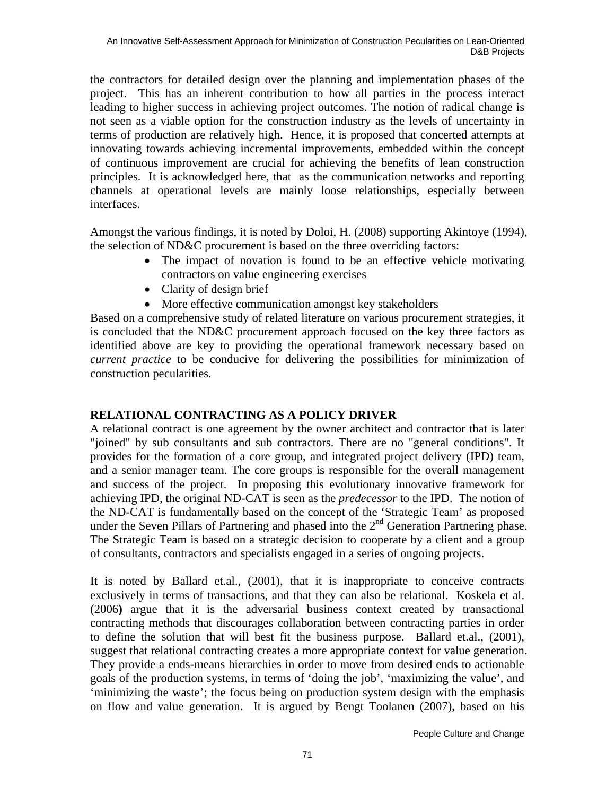the contractors for detailed design over the planning and implementation phases of the project. This has an inherent contribution to how all parties in the process interact leading to higher success in achieving project outcomes. The notion of radical change is not seen as a viable option for the construction industry as the levels of uncertainty in terms of production are relatively high. Hence, it is proposed that concerted attempts at innovating towards achieving incremental improvements, embedded within the concept of continuous improvement are crucial for achieving the benefits of lean construction principles. It is acknowledged here, that as the communication networks and reporting channels at operational levels are mainly loose relationships, especially between interfaces.

Amongst the various findings, it is noted by Doloi, H. (2008) supporting Akintoye (1994), the selection of ND&C procurement is based on the three overriding factors:

- The impact of novation is found to be an effective vehicle motivating contractors on value engineering exercises
- Clarity of design brief
- More effective communication amongst key stakeholders

Based on a comprehensive study of related literature on various procurement strategies, it is concluded that the ND&C procurement approach focused on the key three factors as identified above are key to providing the operational framework necessary based on *current practice* to be conducive for delivering the possibilities for minimization of construction pecularities.

# **RELATIONAL CONTRACTING AS A POLICY DRIVER**

A relational contract is one agreement by the owner architect and contractor that is later "joined" by sub consultants and sub contractors. There are no "general conditions". It provides for the formation of a core group, and integrated project delivery (IPD) team, and a senior manager team. The core groups is responsible for the overall management and success of the project. In proposing this evolutionary innovative framework for achieving IPD, the original ND-CAT is seen as the *predecessor* to the IPD. The notion of the ND-CAT is fundamentally based on the concept of the 'Strategic Team' as proposed under the Seven Pillars of Partnering and phased into the  $2<sup>nd</sup>$  Generation Partnering phase. The Strategic Team is based on a strategic decision to cooperate by a client and a group of consultants, contractors and specialists engaged in a series of ongoing projects.

It is noted by Ballard et.al., (2001), that it is inappropriate to conceive contracts exclusively in terms of transactions, and that they can also be relational. Koskela et al. (2006**)** argue that it is the adversarial business context created by transactional contracting methods that discourages collaboration between contracting parties in order to define the solution that will best fit the business purpose. Ballard et.al., (2001), suggest that relational contracting creates a more appropriate context for value generation. They provide a ends-means hierarchies in order to move from desired ends to actionable goals of the production systems, in terms of 'doing the job', 'maximizing the value', and 'minimizing the waste'; the focus being on production system design with the emphasis on flow and value generation. It is argued by Bengt Toolanen (2007), based on his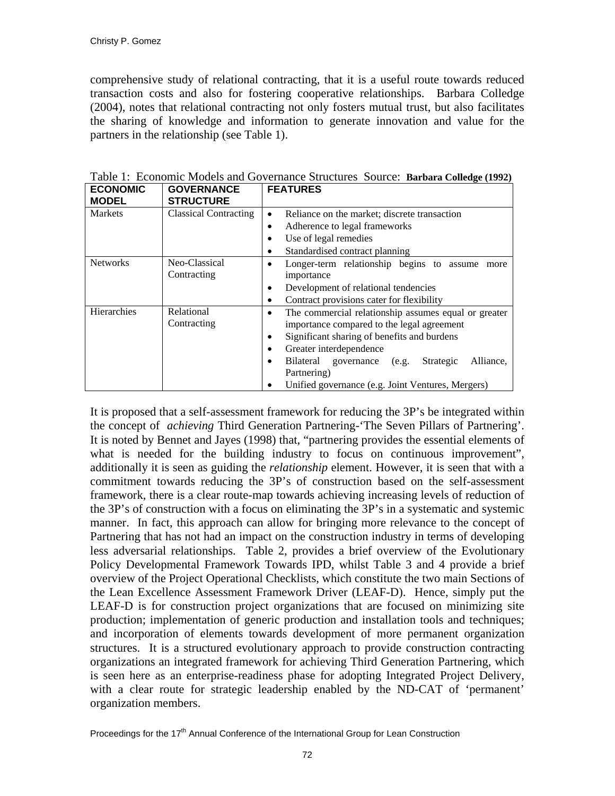comprehensive study of relational contracting, that it is a useful route towards reduced transaction costs and also for fostering cooperative relationships. Barbara Colledge (2004), notes that relational contracting not only fosters mutual trust, but also facilitates the sharing of knowledge and information to generate innovation and value for the partners in the relationship (see Table 1).

| <b>ECONOMIC</b><br><b>MODEL</b> | <b>GOVERNANCE</b><br><b>STRUCTURE</b> | <b>FEATURES</b>                                                                                                                                                                                                                                                                                                         |
|---------------------------------|---------------------------------------|-------------------------------------------------------------------------------------------------------------------------------------------------------------------------------------------------------------------------------------------------------------------------------------------------------------------------|
| <b>Markets</b>                  | <b>Classical Contracting</b>          | Reliance on the market; discrete transaction<br>$\bullet$<br>Adherence to legal frameworks<br>٠<br>Use of legal remedies<br>٠<br>Standardised contract planning                                                                                                                                                         |
| <b>Networks</b>                 | Neo-Classical<br>Contracting          | Longer-term relationship begins to assume<br>more<br>importance<br>Development of relational tendencies<br>٠<br>Contract provisions cater for flexibility<br>٠                                                                                                                                                          |
| Hierarchies                     | Relational<br>Contracting             | The commercial relationship assumes equal or greater<br>٠<br>importance compared to the legal agreement<br>Significant sharing of benefits and burdens<br>٠<br>Greater interdependence<br>٠<br>Bilateral governance (e.g.<br>Strategic<br>Alliance,<br>Partnering)<br>Unified governance (e.g. Joint Ventures, Mergers) |

Table 1: Economic Models and Governance Structures Source: **Barbara Colledge (1992)**

It is proposed that a self-assessment framework for reducing the 3P's be integrated within the concept of *achieving* Third Generation Partnering-'The Seven Pillars of Partnering'. It is noted by Bennet and Jayes (1998) that, "partnering provides the essential elements of what is needed for the building industry to focus on continuous improvement", additionally it is seen as guiding the *relationship* element. However, it is seen that with a commitment towards reducing the 3P's of construction based on the self-assessment framework, there is a clear route-map towards achieving increasing levels of reduction of the 3P's of construction with a focus on eliminating the 3P's in a systematic and systemic manner. In fact, this approach can allow for bringing more relevance to the concept of Partnering that has not had an impact on the construction industry in terms of developing less adversarial relationships. Table 2, provides a brief overview of the Evolutionary Policy Developmental Framework Towards IPD, whilst Table 3 and 4 provide a brief overview of the Project Operational Checklists, which constitute the two main Sections of the Lean Excellence Assessment Framework Driver (LEAF-D). Hence, simply put the LEAF-D is for construction project organizations that are focused on minimizing site production; implementation of generic production and installation tools and techniques; and incorporation of elements towards development of more permanent organization structures. It is a structured evolutionary approach to provide construction contracting organizations an integrated framework for achieving Third Generation Partnering, which is seen here as an enterprise-readiness phase for adopting Integrated Project Delivery, with a clear route for strategic leadership enabled by the ND-CAT of 'permanent' organization members.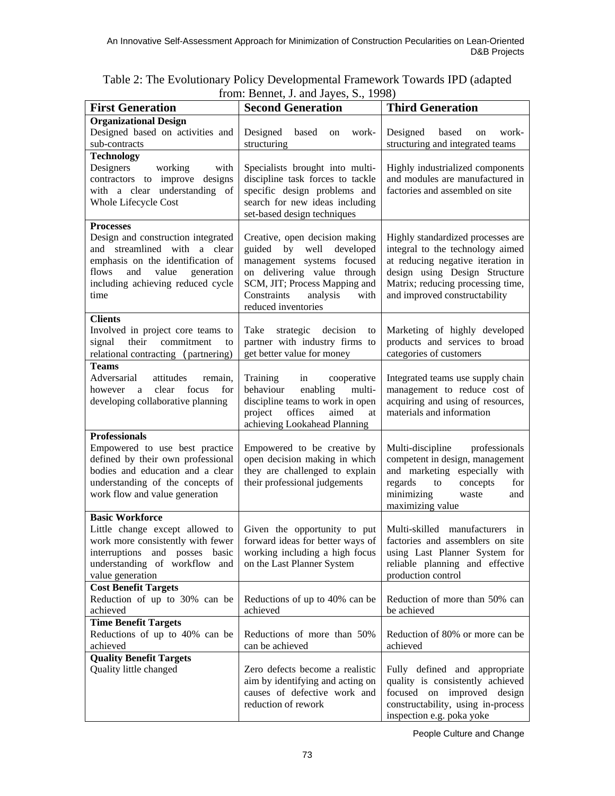| <b>Organizational Design</b><br>Designed based on activities and<br>Designed<br>Designed<br>based<br>work-<br>based<br>work-<br>on<br>on<br>structuring and integrated teams<br>sub-contracts<br>structuring<br><b>Technology</b><br>Designers<br>working<br>with<br>Specialists brought into multi-<br>Highly industrialized components<br>contractors to improve designs<br>discipline task forces to tackle<br>and modules are manufactured in<br>with a clear understanding of<br>specific design problems and<br>factories and assembled on site<br>Whole Lifecycle Cost<br>search for new ideas including<br>set-based design techniques<br><b>Processes</b><br>Design and construction integrated<br>Highly standardized processes are<br>Creative, open decision making<br>and streamlined with a clear<br>guided by well developed<br>integral to the technology aimed<br>emphasis on the identification of<br>management systems focused<br>at reducing negative iteration in<br>design using Design Structure<br>and<br>value<br>on delivering value through<br>flows<br>generation<br>including achieving reduced cycle<br>Matrix; reducing processing time,<br>SCM, JIT; Process Mapping and<br>Constraints<br>analysis<br>and improved constructability<br>with<br>time<br>reduced inventories<br><b>Clients</b><br>Involved in project core teams to<br>Take<br>strategic decision<br>Marketing of highly developed<br>to<br>products and services to broad<br>their<br>commitment<br>partner with industry firms to<br>signal<br>to<br>get better value for money<br>categories of customers<br>relational contracting (partnering)<br><b>Teams</b><br>Adversarial<br>attitudes<br>Training<br>in<br>Integrated teams use supply chain<br>remain,<br>cooperative<br>a clear<br>focus<br>behaviour<br>enabling<br>multi-<br>management to reduce cost of<br>for<br>however<br>developing collaborative planning<br>discipline teams to work in open<br>acquiring and using of resources,<br>offices<br>materials and information<br>project<br>aimed<br>at<br>achieving Lookahead Planning<br><b>Professionals</b><br>Empowered to use best practice<br>Empowered to be creative by<br>Multi-discipline<br>professionals<br>competent in design, management<br>defined by their own professional<br>open decision making in which<br>bodies and education and a clear<br>they are challenged to explain<br>and marketing especially with<br>understanding of the concepts of<br>their professional judgements<br>regards to<br>concepts<br>for<br>work flow and value generation<br>minimizing<br>waste<br>and<br>maximizing value<br><b>Basic Workforce</b><br>Little change except allowed to<br>Given the opportunity to put<br>Multi-skilled manufacturers<br>in<br>work more consistently with fewer<br>forward ideas for better ways of<br>factories and assemblers on site<br>using Last Planner System for<br>interruptions and posses basic<br>working including a high focus<br>understanding of workflow and<br>reliable planning and effective<br>on the Last Planner System<br>value generation<br>production control<br><b>Cost Benefit Targets</b><br>Reduction of up to 30% can be<br>Reductions of up to 40% can be<br>Reduction of more than 50% can<br>achieved<br>achieved<br>be achieved<br><b>Time Benefit Targets</b><br>Reductions of up to 40% can be<br>Reductions of more than 50%<br>Reduction of 80% or more can be<br>achieved<br>can be achieved<br>achieved<br><b>Quality Benefit Targets</b><br>Quality little changed<br>Fully defined and appropriate<br>Zero defects become a realistic<br>aim by identifying and acting on<br>quality is consistently achieved<br>causes of defective work and<br>focused on improved design<br>reduction of rework<br>constructability, using in-process | <b>First Generation</b> | $110111.$ Definer, <i>J. and Jayes</i> , D., 1776)<br><b>Third Generation</b><br><b>Second Generation</b> |                           |  |  |  |  |
|-----------------------------------------------------------------------------------------------------------------------------------------------------------------------------------------------------------------------------------------------------------------------------------------------------------------------------------------------------------------------------------------------------------------------------------------------------------------------------------------------------------------------------------------------------------------------------------------------------------------------------------------------------------------------------------------------------------------------------------------------------------------------------------------------------------------------------------------------------------------------------------------------------------------------------------------------------------------------------------------------------------------------------------------------------------------------------------------------------------------------------------------------------------------------------------------------------------------------------------------------------------------------------------------------------------------------------------------------------------------------------------------------------------------------------------------------------------------------------------------------------------------------------------------------------------------------------------------------------------------------------------------------------------------------------------------------------------------------------------------------------------------------------------------------------------------------------------------------------------------------------------------------------------------------------------------------------------------------------------------------------------------------------------------------------------------------------------------------------------------------------------------------------------------------------------------------------------------------------------------------------------------------------------------------------------------------------------------------------------------------------------------------------------------------------------------------------------------------------------------------------------------------------------------------------------------------------------------------------------------------------------------------------------------------------------------------------------------------------------------------------------------------------------------------------------------------------------------------------------------------------------------------------------------------------------------------------------------------------------------------------------------------------------------------------------------------------------------------------------------------------------------------------------------------------------------------------------------------------------------------------------------------------------------------------------------------------------------------------------------------------------------------------------------------------------------------------------------------------------------------------------------------------------------------------------------------------------------------------------------------------------------------------------------------------------------------------------------------------------------------------------------------------------------------------------------------------------------------|-------------------------|-----------------------------------------------------------------------------------------------------------|---------------------------|--|--|--|--|
|                                                                                                                                                                                                                                                                                                                                                                                                                                                                                                                                                                                                                                                                                                                                                                                                                                                                                                                                                                                                                                                                                                                                                                                                                                                                                                                                                                                                                                                                                                                                                                                                                                                                                                                                                                                                                                                                                                                                                                                                                                                                                                                                                                                                                                                                                                                                                                                                                                                                                                                                                                                                                                                                                                                                                                                                                                                                                                                                                                                                                                                                                                                                                                                                                                                                                                                                                                                                                                                                                                                                                                                                                                                                                                                                                                                                                                               |                         |                                                                                                           |                           |  |  |  |  |
|                                                                                                                                                                                                                                                                                                                                                                                                                                                                                                                                                                                                                                                                                                                                                                                                                                                                                                                                                                                                                                                                                                                                                                                                                                                                                                                                                                                                                                                                                                                                                                                                                                                                                                                                                                                                                                                                                                                                                                                                                                                                                                                                                                                                                                                                                                                                                                                                                                                                                                                                                                                                                                                                                                                                                                                                                                                                                                                                                                                                                                                                                                                                                                                                                                                                                                                                                                                                                                                                                                                                                                                                                                                                                                                                                                                                                                               |                         |                                                                                                           |                           |  |  |  |  |
|                                                                                                                                                                                                                                                                                                                                                                                                                                                                                                                                                                                                                                                                                                                                                                                                                                                                                                                                                                                                                                                                                                                                                                                                                                                                                                                                                                                                                                                                                                                                                                                                                                                                                                                                                                                                                                                                                                                                                                                                                                                                                                                                                                                                                                                                                                                                                                                                                                                                                                                                                                                                                                                                                                                                                                                                                                                                                                                                                                                                                                                                                                                                                                                                                                                                                                                                                                                                                                                                                                                                                                                                                                                                                                                                                                                                                                               |                         |                                                                                                           |                           |  |  |  |  |
|                                                                                                                                                                                                                                                                                                                                                                                                                                                                                                                                                                                                                                                                                                                                                                                                                                                                                                                                                                                                                                                                                                                                                                                                                                                                                                                                                                                                                                                                                                                                                                                                                                                                                                                                                                                                                                                                                                                                                                                                                                                                                                                                                                                                                                                                                                                                                                                                                                                                                                                                                                                                                                                                                                                                                                                                                                                                                                                                                                                                                                                                                                                                                                                                                                                                                                                                                                                                                                                                                                                                                                                                                                                                                                                                                                                                                                               |                         |                                                                                                           |                           |  |  |  |  |
|                                                                                                                                                                                                                                                                                                                                                                                                                                                                                                                                                                                                                                                                                                                                                                                                                                                                                                                                                                                                                                                                                                                                                                                                                                                                                                                                                                                                                                                                                                                                                                                                                                                                                                                                                                                                                                                                                                                                                                                                                                                                                                                                                                                                                                                                                                                                                                                                                                                                                                                                                                                                                                                                                                                                                                                                                                                                                                                                                                                                                                                                                                                                                                                                                                                                                                                                                                                                                                                                                                                                                                                                                                                                                                                                                                                                                                               |                         |                                                                                                           |                           |  |  |  |  |
|                                                                                                                                                                                                                                                                                                                                                                                                                                                                                                                                                                                                                                                                                                                                                                                                                                                                                                                                                                                                                                                                                                                                                                                                                                                                                                                                                                                                                                                                                                                                                                                                                                                                                                                                                                                                                                                                                                                                                                                                                                                                                                                                                                                                                                                                                                                                                                                                                                                                                                                                                                                                                                                                                                                                                                                                                                                                                                                                                                                                                                                                                                                                                                                                                                                                                                                                                                                                                                                                                                                                                                                                                                                                                                                                                                                                                                               |                         |                                                                                                           |                           |  |  |  |  |
|                                                                                                                                                                                                                                                                                                                                                                                                                                                                                                                                                                                                                                                                                                                                                                                                                                                                                                                                                                                                                                                                                                                                                                                                                                                                                                                                                                                                                                                                                                                                                                                                                                                                                                                                                                                                                                                                                                                                                                                                                                                                                                                                                                                                                                                                                                                                                                                                                                                                                                                                                                                                                                                                                                                                                                                                                                                                                                                                                                                                                                                                                                                                                                                                                                                                                                                                                                                                                                                                                                                                                                                                                                                                                                                                                                                                                                               |                         |                                                                                                           |                           |  |  |  |  |
|                                                                                                                                                                                                                                                                                                                                                                                                                                                                                                                                                                                                                                                                                                                                                                                                                                                                                                                                                                                                                                                                                                                                                                                                                                                                                                                                                                                                                                                                                                                                                                                                                                                                                                                                                                                                                                                                                                                                                                                                                                                                                                                                                                                                                                                                                                                                                                                                                                                                                                                                                                                                                                                                                                                                                                                                                                                                                                                                                                                                                                                                                                                                                                                                                                                                                                                                                                                                                                                                                                                                                                                                                                                                                                                                                                                                                                               |                         |                                                                                                           |                           |  |  |  |  |
|                                                                                                                                                                                                                                                                                                                                                                                                                                                                                                                                                                                                                                                                                                                                                                                                                                                                                                                                                                                                                                                                                                                                                                                                                                                                                                                                                                                                                                                                                                                                                                                                                                                                                                                                                                                                                                                                                                                                                                                                                                                                                                                                                                                                                                                                                                                                                                                                                                                                                                                                                                                                                                                                                                                                                                                                                                                                                                                                                                                                                                                                                                                                                                                                                                                                                                                                                                                                                                                                                                                                                                                                                                                                                                                                                                                                                                               |                         |                                                                                                           |                           |  |  |  |  |
|                                                                                                                                                                                                                                                                                                                                                                                                                                                                                                                                                                                                                                                                                                                                                                                                                                                                                                                                                                                                                                                                                                                                                                                                                                                                                                                                                                                                                                                                                                                                                                                                                                                                                                                                                                                                                                                                                                                                                                                                                                                                                                                                                                                                                                                                                                                                                                                                                                                                                                                                                                                                                                                                                                                                                                                                                                                                                                                                                                                                                                                                                                                                                                                                                                                                                                                                                                                                                                                                                                                                                                                                                                                                                                                                                                                                                                               |                         |                                                                                                           |                           |  |  |  |  |
|                                                                                                                                                                                                                                                                                                                                                                                                                                                                                                                                                                                                                                                                                                                                                                                                                                                                                                                                                                                                                                                                                                                                                                                                                                                                                                                                                                                                                                                                                                                                                                                                                                                                                                                                                                                                                                                                                                                                                                                                                                                                                                                                                                                                                                                                                                                                                                                                                                                                                                                                                                                                                                                                                                                                                                                                                                                                                                                                                                                                                                                                                                                                                                                                                                                                                                                                                                                                                                                                                                                                                                                                                                                                                                                                                                                                                                               |                         |                                                                                                           |                           |  |  |  |  |
|                                                                                                                                                                                                                                                                                                                                                                                                                                                                                                                                                                                                                                                                                                                                                                                                                                                                                                                                                                                                                                                                                                                                                                                                                                                                                                                                                                                                                                                                                                                                                                                                                                                                                                                                                                                                                                                                                                                                                                                                                                                                                                                                                                                                                                                                                                                                                                                                                                                                                                                                                                                                                                                                                                                                                                                                                                                                                                                                                                                                                                                                                                                                                                                                                                                                                                                                                                                                                                                                                                                                                                                                                                                                                                                                                                                                                                               |                         |                                                                                                           |                           |  |  |  |  |
|                                                                                                                                                                                                                                                                                                                                                                                                                                                                                                                                                                                                                                                                                                                                                                                                                                                                                                                                                                                                                                                                                                                                                                                                                                                                                                                                                                                                                                                                                                                                                                                                                                                                                                                                                                                                                                                                                                                                                                                                                                                                                                                                                                                                                                                                                                                                                                                                                                                                                                                                                                                                                                                                                                                                                                                                                                                                                                                                                                                                                                                                                                                                                                                                                                                                                                                                                                                                                                                                                                                                                                                                                                                                                                                                                                                                                                               |                         |                                                                                                           |                           |  |  |  |  |
|                                                                                                                                                                                                                                                                                                                                                                                                                                                                                                                                                                                                                                                                                                                                                                                                                                                                                                                                                                                                                                                                                                                                                                                                                                                                                                                                                                                                                                                                                                                                                                                                                                                                                                                                                                                                                                                                                                                                                                                                                                                                                                                                                                                                                                                                                                                                                                                                                                                                                                                                                                                                                                                                                                                                                                                                                                                                                                                                                                                                                                                                                                                                                                                                                                                                                                                                                                                                                                                                                                                                                                                                                                                                                                                                                                                                                                               |                         |                                                                                                           |                           |  |  |  |  |
|                                                                                                                                                                                                                                                                                                                                                                                                                                                                                                                                                                                                                                                                                                                                                                                                                                                                                                                                                                                                                                                                                                                                                                                                                                                                                                                                                                                                                                                                                                                                                                                                                                                                                                                                                                                                                                                                                                                                                                                                                                                                                                                                                                                                                                                                                                                                                                                                                                                                                                                                                                                                                                                                                                                                                                                                                                                                                                                                                                                                                                                                                                                                                                                                                                                                                                                                                                                                                                                                                                                                                                                                                                                                                                                                                                                                                                               |                         |                                                                                                           |                           |  |  |  |  |
|                                                                                                                                                                                                                                                                                                                                                                                                                                                                                                                                                                                                                                                                                                                                                                                                                                                                                                                                                                                                                                                                                                                                                                                                                                                                                                                                                                                                                                                                                                                                                                                                                                                                                                                                                                                                                                                                                                                                                                                                                                                                                                                                                                                                                                                                                                                                                                                                                                                                                                                                                                                                                                                                                                                                                                                                                                                                                                                                                                                                                                                                                                                                                                                                                                                                                                                                                                                                                                                                                                                                                                                                                                                                                                                                                                                                                                               |                         |                                                                                                           |                           |  |  |  |  |
|                                                                                                                                                                                                                                                                                                                                                                                                                                                                                                                                                                                                                                                                                                                                                                                                                                                                                                                                                                                                                                                                                                                                                                                                                                                                                                                                                                                                                                                                                                                                                                                                                                                                                                                                                                                                                                                                                                                                                                                                                                                                                                                                                                                                                                                                                                                                                                                                                                                                                                                                                                                                                                                                                                                                                                                                                                                                                                                                                                                                                                                                                                                                                                                                                                                                                                                                                                                                                                                                                                                                                                                                                                                                                                                                                                                                                                               |                         |                                                                                                           |                           |  |  |  |  |
|                                                                                                                                                                                                                                                                                                                                                                                                                                                                                                                                                                                                                                                                                                                                                                                                                                                                                                                                                                                                                                                                                                                                                                                                                                                                                                                                                                                                                                                                                                                                                                                                                                                                                                                                                                                                                                                                                                                                                                                                                                                                                                                                                                                                                                                                                                                                                                                                                                                                                                                                                                                                                                                                                                                                                                                                                                                                                                                                                                                                                                                                                                                                                                                                                                                                                                                                                                                                                                                                                                                                                                                                                                                                                                                                                                                                                                               |                         |                                                                                                           |                           |  |  |  |  |
|                                                                                                                                                                                                                                                                                                                                                                                                                                                                                                                                                                                                                                                                                                                                                                                                                                                                                                                                                                                                                                                                                                                                                                                                                                                                                                                                                                                                                                                                                                                                                                                                                                                                                                                                                                                                                                                                                                                                                                                                                                                                                                                                                                                                                                                                                                                                                                                                                                                                                                                                                                                                                                                                                                                                                                                                                                                                                                                                                                                                                                                                                                                                                                                                                                                                                                                                                                                                                                                                                                                                                                                                                                                                                                                                                                                                                                               |                         |                                                                                                           |                           |  |  |  |  |
|                                                                                                                                                                                                                                                                                                                                                                                                                                                                                                                                                                                                                                                                                                                                                                                                                                                                                                                                                                                                                                                                                                                                                                                                                                                                                                                                                                                                                                                                                                                                                                                                                                                                                                                                                                                                                                                                                                                                                                                                                                                                                                                                                                                                                                                                                                                                                                                                                                                                                                                                                                                                                                                                                                                                                                                                                                                                                                                                                                                                                                                                                                                                                                                                                                                                                                                                                                                                                                                                                                                                                                                                                                                                                                                                                                                                                                               |                         |                                                                                                           |                           |  |  |  |  |
|                                                                                                                                                                                                                                                                                                                                                                                                                                                                                                                                                                                                                                                                                                                                                                                                                                                                                                                                                                                                                                                                                                                                                                                                                                                                                                                                                                                                                                                                                                                                                                                                                                                                                                                                                                                                                                                                                                                                                                                                                                                                                                                                                                                                                                                                                                                                                                                                                                                                                                                                                                                                                                                                                                                                                                                                                                                                                                                                                                                                                                                                                                                                                                                                                                                                                                                                                                                                                                                                                                                                                                                                                                                                                                                                                                                                                                               |                         |                                                                                                           |                           |  |  |  |  |
|                                                                                                                                                                                                                                                                                                                                                                                                                                                                                                                                                                                                                                                                                                                                                                                                                                                                                                                                                                                                                                                                                                                                                                                                                                                                                                                                                                                                                                                                                                                                                                                                                                                                                                                                                                                                                                                                                                                                                                                                                                                                                                                                                                                                                                                                                                                                                                                                                                                                                                                                                                                                                                                                                                                                                                                                                                                                                                                                                                                                                                                                                                                                                                                                                                                                                                                                                                                                                                                                                                                                                                                                                                                                                                                                                                                                                                               |                         |                                                                                                           |                           |  |  |  |  |
|                                                                                                                                                                                                                                                                                                                                                                                                                                                                                                                                                                                                                                                                                                                                                                                                                                                                                                                                                                                                                                                                                                                                                                                                                                                                                                                                                                                                                                                                                                                                                                                                                                                                                                                                                                                                                                                                                                                                                                                                                                                                                                                                                                                                                                                                                                                                                                                                                                                                                                                                                                                                                                                                                                                                                                                                                                                                                                                                                                                                                                                                                                                                                                                                                                                                                                                                                                                                                                                                                                                                                                                                                                                                                                                                                                                                                                               |                         |                                                                                                           |                           |  |  |  |  |
|                                                                                                                                                                                                                                                                                                                                                                                                                                                                                                                                                                                                                                                                                                                                                                                                                                                                                                                                                                                                                                                                                                                                                                                                                                                                                                                                                                                                                                                                                                                                                                                                                                                                                                                                                                                                                                                                                                                                                                                                                                                                                                                                                                                                                                                                                                                                                                                                                                                                                                                                                                                                                                                                                                                                                                                                                                                                                                                                                                                                                                                                                                                                                                                                                                                                                                                                                                                                                                                                                                                                                                                                                                                                                                                                                                                                                                               |                         |                                                                                                           |                           |  |  |  |  |
|                                                                                                                                                                                                                                                                                                                                                                                                                                                                                                                                                                                                                                                                                                                                                                                                                                                                                                                                                                                                                                                                                                                                                                                                                                                                                                                                                                                                                                                                                                                                                                                                                                                                                                                                                                                                                                                                                                                                                                                                                                                                                                                                                                                                                                                                                                                                                                                                                                                                                                                                                                                                                                                                                                                                                                                                                                                                                                                                                                                                                                                                                                                                                                                                                                                                                                                                                                                                                                                                                                                                                                                                                                                                                                                                                                                                                                               |                         |                                                                                                           |                           |  |  |  |  |
|                                                                                                                                                                                                                                                                                                                                                                                                                                                                                                                                                                                                                                                                                                                                                                                                                                                                                                                                                                                                                                                                                                                                                                                                                                                                                                                                                                                                                                                                                                                                                                                                                                                                                                                                                                                                                                                                                                                                                                                                                                                                                                                                                                                                                                                                                                                                                                                                                                                                                                                                                                                                                                                                                                                                                                                                                                                                                                                                                                                                                                                                                                                                                                                                                                                                                                                                                                                                                                                                                                                                                                                                                                                                                                                                                                                                                                               |                         |                                                                                                           |                           |  |  |  |  |
|                                                                                                                                                                                                                                                                                                                                                                                                                                                                                                                                                                                                                                                                                                                                                                                                                                                                                                                                                                                                                                                                                                                                                                                                                                                                                                                                                                                                                                                                                                                                                                                                                                                                                                                                                                                                                                                                                                                                                                                                                                                                                                                                                                                                                                                                                                                                                                                                                                                                                                                                                                                                                                                                                                                                                                                                                                                                                                                                                                                                                                                                                                                                                                                                                                                                                                                                                                                                                                                                                                                                                                                                                                                                                                                                                                                                                                               |                         |                                                                                                           |                           |  |  |  |  |
|                                                                                                                                                                                                                                                                                                                                                                                                                                                                                                                                                                                                                                                                                                                                                                                                                                                                                                                                                                                                                                                                                                                                                                                                                                                                                                                                                                                                                                                                                                                                                                                                                                                                                                                                                                                                                                                                                                                                                                                                                                                                                                                                                                                                                                                                                                                                                                                                                                                                                                                                                                                                                                                                                                                                                                                                                                                                                                                                                                                                                                                                                                                                                                                                                                                                                                                                                                                                                                                                                                                                                                                                                                                                                                                                                                                                                                               |                         |                                                                                                           |                           |  |  |  |  |
|                                                                                                                                                                                                                                                                                                                                                                                                                                                                                                                                                                                                                                                                                                                                                                                                                                                                                                                                                                                                                                                                                                                                                                                                                                                                                                                                                                                                                                                                                                                                                                                                                                                                                                                                                                                                                                                                                                                                                                                                                                                                                                                                                                                                                                                                                                                                                                                                                                                                                                                                                                                                                                                                                                                                                                                                                                                                                                                                                                                                                                                                                                                                                                                                                                                                                                                                                                                                                                                                                                                                                                                                                                                                                                                                                                                                                                               |                         |                                                                                                           |                           |  |  |  |  |
|                                                                                                                                                                                                                                                                                                                                                                                                                                                                                                                                                                                                                                                                                                                                                                                                                                                                                                                                                                                                                                                                                                                                                                                                                                                                                                                                                                                                                                                                                                                                                                                                                                                                                                                                                                                                                                                                                                                                                                                                                                                                                                                                                                                                                                                                                                                                                                                                                                                                                                                                                                                                                                                                                                                                                                                                                                                                                                                                                                                                                                                                                                                                                                                                                                                                                                                                                                                                                                                                                                                                                                                                                                                                                                                                                                                                                                               |                         |                                                                                                           |                           |  |  |  |  |
|                                                                                                                                                                                                                                                                                                                                                                                                                                                                                                                                                                                                                                                                                                                                                                                                                                                                                                                                                                                                                                                                                                                                                                                                                                                                                                                                                                                                                                                                                                                                                                                                                                                                                                                                                                                                                                                                                                                                                                                                                                                                                                                                                                                                                                                                                                                                                                                                                                                                                                                                                                                                                                                                                                                                                                                                                                                                                                                                                                                                                                                                                                                                                                                                                                                                                                                                                                                                                                                                                                                                                                                                                                                                                                                                                                                                                                               |                         |                                                                                                           |                           |  |  |  |  |
|                                                                                                                                                                                                                                                                                                                                                                                                                                                                                                                                                                                                                                                                                                                                                                                                                                                                                                                                                                                                                                                                                                                                                                                                                                                                                                                                                                                                                                                                                                                                                                                                                                                                                                                                                                                                                                                                                                                                                                                                                                                                                                                                                                                                                                                                                                                                                                                                                                                                                                                                                                                                                                                                                                                                                                                                                                                                                                                                                                                                                                                                                                                                                                                                                                                                                                                                                                                                                                                                                                                                                                                                                                                                                                                                                                                                                                               |                         |                                                                                                           |                           |  |  |  |  |
|                                                                                                                                                                                                                                                                                                                                                                                                                                                                                                                                                                                                                                                                                                                                                                                                                                                                                                                                                                                                                                                                                                                                                                                                                                                                                                                                                                                                                                                                                                                                                                                                                                                                                                                                                                                                                                                                                                                                                                                                                                                                                                                                                                                                                                                                                                                                                                                                                                                                                                                                                                                                                                                                                                                                                                                                                                                                                                                                                                                                                                                                                                                                                                                                                                                                                                                                                                                                                                                                                                                                                                                                                                                                                                                                                                                                                                               |                         |                                                                                                           |                           |  |  |  |  |
|                                                                                                                                                                                                                                                                                                                                                                                                                                                                                                                                                                                                                                                                                                                                                                                                                                                                                                                                                                                                                                                                                                                                                                                                                                                                                                                                                                                                                                                                                                                                                                                                                                                                                                                                                                                                                                                                                                                                                                                                                                                                                                                                                                                                                                                                                                                                                                                                                                                                                                                                                                                                                                                                                                                                                                                                                                                                                                                                                                                                                                                                                                                                                                                                                                                                                                                                                                                                                                                                                                                                                                                                                                                                                                                                                                                                                                               |                         |                                                                                                           |                           |  |  |  |  |
|                                                                                                                                                                                                                                                                                                                                                                                                                                                                                                                                                                                                                                                                                                                                                                                                                                                                                                                                                                                                                                                                                                                                                                                                                                                                                                                                                                                                                                                                                                                                                                                                                                                                                                                                                                                                                                                                                                                                                                                                                                                                                                                                                                                                                                                                                                                                                                                                                                                                                                                                                                                                                                                                                                                                                                                                                                                                                                                                                                                                                                                                                                                                                                                                                                                                                                                                                                                                                                                                                                                                                                                                                                                                                                                                                                                                                                               |                         |                                                                                                           |                           |  |  |  |  |
|                                                                                                                                                                                                                                                                                                                                                                                                                                                                                                                                                                                                                                                                                                                                                                                                                                                                                                                                                                                                                                                                                                                                                                                                                                                                                                                                                                                                                                                                                                                                                                                                                                                                                                                                                                                                                                                                                                                                                                                                                                                                                                                                                                                                                                                                                                                                                                                                                                                                                                                                                                                                                                                                                                                                                                                                                                                                                                                                                                                                                                                                                                                                                                                                                                                                                                                                                                                                                                                                                                                                                                                                                                                                                                                                                                                                                                               |                         |                                                                                                           |                           |  |  |  |  |
|                                                                                                                                                                                                                                                                                                                                                                                                                                                                                                                                                                                                                                                                                                                                                                                                                                                                                                                                                                                                                                                                                                                                                                                                                                                                                                                                                                                                                                                                                                                                                                                                                                                                                                                                                                                                                                                                                                                                                                                                                                                                                                                                                                                                                                                                                                                                                                                                                                                                                                                                                                                                                                                                                                                                                                                                                                                                                                                                                                                                                                                                                                                                                                                                                                                                                                                                                                                                                                                                                                                                                                                                                                                                                                                                                                                                                                               |                         |                                                                                                           |                           |  |  |  |  |
|                                                                                                                                                                                                                                                                                                                                                                                                                                                                                                                                                                                                                                                                                                                                                                                                                                                                                                                                                                                                                                                                                                                                                                                                                                                                                                                                                                                                                                                                                                                                                                                                                                                                                                                                                                                                                                                                                                                                                                                                                                                                                                                                                                                                                                                                                                                                                                                                                                                                                                                                                                                                                                                                                                                                                                                                                                                                                                                                                                                                                                                                                                                                                                                                                                                                                                                                                                                                                                                                                                                                                                                                                                                                                                                                                                                                                                               |                         |                                                                                                           |                           |  |  |  |  |
|                                                                                                                                                                                                                                                                                                                                                                                                                                                                                                                                                                                                                                                                                                                                                                                                                                                                                                                                                                                                                                                                                                                                                                                                                                                                                                                                                                                                                                                                                                                                                                                                                                                                                                                                                                                                                                                                                                                                                                                                                                                                                                                                                                                                                                                                                                                                                                                                                                                                                                                                                                                                                                                                                                                                                                                                                                                                                                                                                                                                                                                                                                                                                                                                                                                                                                                                                                                                                                                                                                                                                                                                                                                                                                                                                                                                                                               |                         |                                                                                                           |                           |  |  |  |  |
|                                                                                                                                                                                                                                                                                                                                                                                                                                                                                                                                                                                                                                                                                                                                                                                                                                                                                                                                                                                                                                                                                                                                                                                                                                                                                                                                                                                                                                                                                                                                                                                                                                                                                                                                                                                                                                                                                                                                                                                                                                                                                                                                                                                                                                                                                                                                                                                                                                                                                                                                                                                                                                                                                                                                                                                                                                                                                                                                                                                                                                                                                                                                                                                                                                                                                                                                                                                                                                                                                                                                                                                                                                                                                                                                                                                                                                               |                         |                                                                                                           |                           |  |  |  |  |
|                                                                                                                                                                                                                                                                                                                                                                                                                                                                                                                                                                                                                                                                                                                                                                                                                                                                                                                                                                                                                                                                                                                                                                                                                                                                                                                                                                                                                                                                                                                                                                                                                                                                                                                                                                                                                                                                                                                                                                                                                                                                                                                                                                                                                                                                                                                                                                                                                                                                                                                                                                                                                                                                                                                                                                                                                                                                                                                                                                                                                                                                                                                                                                                                                                                                                                                                                                                                                                                                                                                                                                                                                                                                                                                                                                                                                                               |                         |                                                                                                           |                           |  |  |  |  |
|                                                                                                                                                                                                                                                                                                                                                                                                                                                                                                                                                                                                                                                                                                                                                                                                                                                                                                                                                                                                                                                                                                                                                                                                                                                                                                                                                                                                                                                                                                                                                                                                                                                                                                                                                                                                                                                                                                                                                                                                                                                                                                                                                                                                                                                                                                                                                                                                                                                                                                                                                                                                                                                                                                                                                                                                                                                                                                                                                                                                                                                                                                                                                                                                                                                                                                                                                                                                                                                                                                                                                                                                                                                                                                                                                                                                                                               |                         |                                                                                                           |                           |  |  |  |  |
|                                                                                                                                                                                                                                                                                                                                                                                                                                                                                                                                                                                                                                                                                                                                                                                                                                                                                                                                                                                                                                                                                                                                                                                                                                                                                                                                                                                                                                                                                                                                                                                                                                                                                                                                                                                                                                                                                                                                                                                                                                                                                                                                                                                                                                                                                                                                                                                                                                                                                                                                                                                                                                                                                                                                                                                                                                                                                                                                                                                                                                                                                                                                                                                                                                                                                                                                                                                                                                                                                                                                                                                                                                                                                                                                                                                                                                               |                         |                                                                                                           |                           |  |  |  |  |
|                                                                                                                                                                                                                                                                                                                                                                                                                                                                                                                                                                                                                                                                                                                                                                                                                                                                                                                                                                                                                                                                                                                                                                                                                                                                                                                                                                                                                                                                                                                                                                                                                                                                                                                                                                                                                                                                                                                                                                                                                                                                                                                                                                                                                                                                                                                                                                                                                                                                                                                                                                                                                                                                                                                                                                                                                                                                                                                                                                                                                                                                                                                                                                                                                                                                                                                                                                                                                                                                                                                                                                                                                                                                                                                                                                                                                                               |                         |                                                                                                           |                           |  |  |  |  |
|                                                                                                                                                                                                                                                                                                                                                                                                                                                                                                                                                                                                                                                                                                                                                                                                                                                                                                                                                                                                                                                                                                                                                                                                                                                                                                                                                                                                                                                                                                                                                                                                                                                                                                                                                                                                                                                                                                                                                                                                                                                                                                                                                                                                                                                                                                                                                                                                                                                                                                                                                                                                                                                                                                                                                                                                                                                                                                                                                                                                                                                                                                                                                                                                                                                                                                                                                                                                                                                                                                                                                                                                                                                                                                                                                                                                                                               |                         |                                                                                                           |                           |  |  |  |  |
|                                                                                                                                                                                                                                                                                                                                                                                                                                                                                                                                                                                                                                                                                                                                                                                                                                                                                                                                                                                                                                                                                                                                                                                                                                                                                                                                                                                                                                                                                                                                                                                                                                                                                                                                                                                                                                                                                                                                                                                                                                                                                                                                                                                                                                                                                                                                                                                                                                                                                                                                                                                                                                                                                                                                                                                                                                                                                                                                                                                                                                                                                                                                                                                                                                                                                                                                                                                                                                                                                                                                                                                                                                                                                                                                                                                                                                               |                         |                                                                                                           |                           |  |  |  |  |
|                                                                                                                                                                                                                                                                                                                                                                                                                                                                                                                                                                                                                                                                                                                                                                                                                                                                                                                                                                                                                                                                                                                                                                                                                                                                                                                                                                                                                                                                                                                                                                                                                                                                                                                                                                                                                                                                                                                                                                                                                                                                                                                                                                                                                                                                                                                                                                                                                                                                                                                                                                                                                                                                                                                                                                                                                                                                                                                                                                                                                                                                                                                                                                                                                                                                                                                                                                                                                                                                                                                                                                                                                                                                                                                                                                                                                                               |                         |                                                                                                           |                           |  |  |  |  |
|                                                                                                                                                                                                                                                                                                                                                                                                                                                                                                                                                                                                                                                                                                                                                                                                                                                                                                                                                                                                                                                                                                                                                                                                                                                                                                                                                                                                                                                                                                                                                                                                                                                                                                                                                                                                                                                                                                                                                                                                                                                                                                                                                                                                                                                                                                                                                                                                                                                                                                                                                                                                                                                                                                                                                                                                                                                                                                                                                                                                                                                                                                                                                                                                                                                                                                                                                                                                                                                                                                                                                                                                                                                                                                                                                                                                                                               |                         |                                                                                                           |                           |  |  |  |  |
|                                                                                                                                                                                                                                                                                                                                                                                                                                                                                                                                                                                                                                                                                                                                                                                                                                                                                                                                                                                                                                                                                                                                                                                                                                                                                                                                                                                                                                                                                                                                                                                                                                                                                                                                                                                                                                                                                                                                                                                                                                                                                                                                                                                                                                                                                                                                                                                                                                                                                                                                                                                                                                                                                                                                                                                                                                                                                                                                                                                                                                                                                                                                                                                                                                                                                                                                                                                                                                                                                                                                                                                                                                                                                                                                                                                                                                               |                         |                                                                                                           |                           |  |  |  |  |
|                                                                                                                                                                                                                                                                                                                                                                                                                                                                                                                                                                                                                                                                                                                                                                                                                                                                                                                                                                                                                                                                                                                                                                                                                                                                                                                                                                                                                                                                                                                                                                                                                                                                                                                                                                                                                                                                                                                                                                                                                                                                                                                                                                                                                                                                                                                                                                                                                                                                                                                                                                                                                                                                                                                                                                                                                                                                                                                                                                                                                                                                                                                                                                                                                                                                                                                                                                                                                                                                                                                                                                                                                                                                                                                                                                                                                                               |                         |                                                                                                           |                           |  |  |  |  |
|                                                                                                                                                                                                                                                                                                                                                                                                                                                                                                                                                                                                                                                                                                                                                                                                                                                                                                                                                                                                                                                                                                                                                                                                                                                                                                                                                                                                                                                                                                                                                                                                                                                                                                                                                                                                                                                                                                                                                                                                                                                                                                                                                                                                                                                                                                                                                                                                                                                                                                                                                                                                                                                                                                                                                                                                                                                                                                                                                                                                                                                                                                                                                                                                                                                                                                                                                                                                                                                                                                                                                                                                                                                                                                                                                                                                                                               |                         |                                                                                                           | inspection e.g. poka yoke |  |  |  |  |

| Table 2: The Evolutionary Policy Developmental Framework Towards IPD (adapted |
|-------------------------------------------------------------------------------|
| from: Bennet, J. and Jayes, S., $1998$ )                                      |

People Culture and Change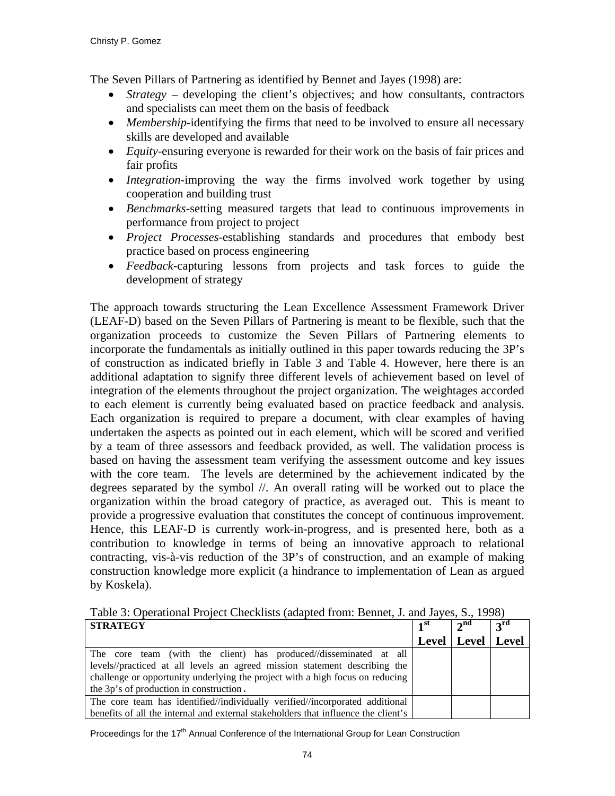The Seven Pillars of Partnering as identified by Bennet and Jayes (1998) are:

- *Strategy* developing the client's objectives; and how consultants, contractors and specialists can meet them on the basis of feedback
- *Membership*-identifying the firms that need to be involved to ensure all necessary skills are developed and available
- *Equity*-ensuring everyone is rewarded for their work on the basis of fair prices and fair profits
- *Integration*-improving the way the firms involved work together by using cooperation and building trust
- *Benchmarks*-setting measured targets that lead to continuous improvements in performance from project to project
- *Project Processes*-establishing standards and procedures that embody best practice based on process engineering
- *Feedback*-capturing lessons from projects and task forces to guide the development of strategy

The approach towards structuring the Lean Excellence Assessment Framework Driver (LEAF-D) based on the Seven Pillars of Partnering is meant to be flexible, such that the organization proceeds to customize the Seven Pillars of Partnering elements to incorporate the fundamentals as initially outlined in this paper towards reducing the 3P's of construction as indicated briefly in Table 3 and Table 4. However, here there is an additional adaptation to signify three different levels of achievement based on level of integration of the elements throughout the project organization. The weightages accorded to each element is currently being evaluated based on practice feedback and analysis. Each organization is required to prepare a document, with clear examples of having undertaken the aspects as pointed out in each element, which will be scored and verified by a team of three assessors and feedback provided, as well. The validation process is based on having the assessment team verifying the assessment outcome and key issues with the core team. The levels are determined by the achievement indicated by the degrees separated by the symbol //. An overall rating will be worked out to place the organization within the broad category of practice, as averaged out. This is meant to provide a progressive evaluation that constitutes the concept of continuous improvement. Hence, this LEAF-D is currently work-in-progress, and is presented here, both as a contribution to knowledge in terms of being an innovative approach to relational contracting, vis-à-vis reduction of the 3P's of construction, and an example of making construction knowledge more explicit (a hindrance to implementation of Lean as argued by Koskela).

Table 3: Operational Project Checklists (adapted from: Bennet, J. and Jayes, S., 1998)

| <b>STRATEGY</b>                                                                    | $\blacksquare$ | $\gamma$ nd   | 3 <sup>rd</sup> |
|------------------------------------------------------------------------------------|----------------|---------------|-----------------|
|                                                                                    | Level          | Level   Level |                 |
| The core team (with the client) has produced//disseminated at all                  |                |               |                 |
| levels//practiced at all levels an agreed mission statement describing the         |                |               |                 |
| challenge or opportunity underlying the project with a high focus on reducing      |                |               |                 |
| the 3p's of production in construction.                                            |                |               |                 |
| The core team has identified//individually verified//incorporated additional       |                |               |                 |
| benefits of all the internal and external stakeholders that influence the client's |                |               |                 |

Proceedings for the  $17<sup>th</sup>$  Annual Conference of the International Group for Lean Construction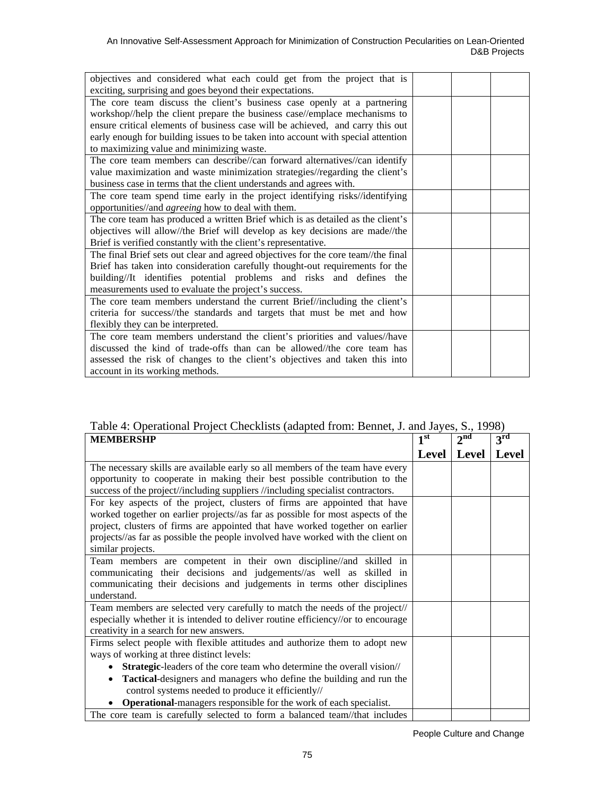| objectives and considered what each could get from the project that is            |  |  |
|-----------------------------------------------------------------------------------|--|--|
| exciting, surprising and goes beyond their expectations.                          |  |  |
| The core team discuss the client's business case openly at a partnering           |  |  |
| workshop//help the client prepare the business case//emplace mechanisms to        |  |  |
| ensure critical elements of business case will be achieved, and carry this out    |  |  |
| early enough for building issues to be taken into account with special attention  |  |  |
| to maximizing value and minimizing waste.                                         |  |  |
| The core team members can describe//can forward alternatives//can identify        |  |  |
| value maximization and waste minimization strategies//regarding the client's      |  |  |
| business case in terms that the client understands and agrees with.               |  |  |
| The core team spend time early in the project identifying risks//identifying      |  |  |
| opportunities//and <i>agreeing</i> how to deal with them.                         |  |  |
| The core team has produced a written Brief which is as detailed as the client's   |  |  |
| objectives will allow//the Brief will develop as key decisions are made//the      |  |  |
| Brief is verified constantly with the client's representative.                    |  |  |
| The final Brief sets out clear and agreed objectives for the core team//the final |  |  |
| Brief has taken into consideration carefully thought-out requirements for the     |  |  |
| building//It identifies potential problems and risks and defines the              |  |  |
| measurements used to evaluate the project's success.                              |  |  |
| The core team members understand the current Brief//including the client's        |  |  |
| criteria for success//the standards and targets that must be met and how          |  |  |
| flexibly they can be interpreted.                                                 |  |  |
| The core team members understand the client's priorities and values//have         |  |  |
| discussed the kind of trade-offs than can be allowed//the core team has           |  |  |
| assessed the risk of changes to the client's objectives and taken this into       |  |  |
| account in its working methods.                                                   |  |  |

# Table 4: Operational Project Checklists (adapted from: Bennet, J. and Jayes, S., 1998)

| <b>MEMBERSHP</b>                                                                   | 1 <sup>st</sup> | $2^{\text{nd}}$ | 3 <sup>rd</sup> |
|------------------------------------------------------------------------------------|-----------------|-----------------|-----------------|
|                                                                                    | Level           | Level           | Level           |
| The necessary skills are available early so all members of the team have every     |                 |                 |                 |
| opportunity to cooperate in making their best possible contribution to the         |                 |                 |                 |
| success of the project//including suppliers //including specialist contractors.    |                 |                 |                 |
| For key aspects of the project, clusters of firms are appointed that have          |                 |                 |                 |
| worked together on earlier projects//as far as possible for most aspects of the    |                 |                 |                 |
| project, clusters of firms are appointed that have worked together on earlier      |                 |                 |                 |
| projects//as far as possible the people involved have worked with the client on    |                 |                 |                 |
| similar projects.                                                                  |                 |                 |                 |
| Team members are competent in their own discipline//and skilled in                 |                 |                 |                 |
| communicating their decisions and judgements//as well as skilled in                |                 |                 |                 |
| communicating their decisions and judgements in terms other disciplines            |                 |                 |                 |
| understand.                                                                        |                 |                 |                 |
| Team members are selected very carefully to match the needs of the project//       |                 |                 |                 |
| especially whether it is intended to deliver routine efficiency//or to encourage   |                 |                 |                 |
| creativity in a search for new answers.                                            |                 |                 |                 |
| Firms select people with flexible attitudes and authorize them to adopt new        |                 |                 |                 |
| ways of working at three distinct levels:                                          |                 |                 |                 |
| Strategic-leaders of the core team who determine the overall vision//<br>$\bullet$ |                 |                 |                 |
| Tactical-designers and managers who define the building and run the<br>$\bullet$   |                 |                 |                 |
| control systems needed to produce it efficiently//                                 |                 |                 |                 |
| <b>Operational-</b> managers responsible for the work of each specialist.          |                 |                 |                 |
| The core team is carefully selected to form a balanced team//that includes         |                 |                 |                 |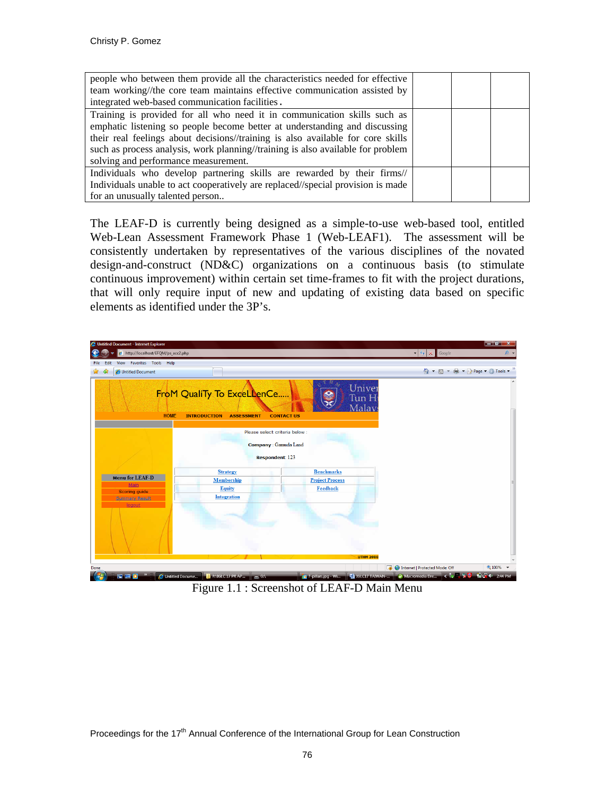| people who between them provide all the characteristics needed for effective    |  |  |
|---------------------------------------------------------------------------------|--|--|
| team working//the core team maintains effective communication assisted by       |  |  |
| integrated web-based communication facilities.                                  |  |  |
| Training is provided for all who need it in communication skills such as        |  |  |
| emphatic listening so people become better at understanding and discussing      |  |  |
| their real feelings about decisions//training is also available for core skills |  |  |
| such as process analysis, work planning//training is also available for problem |  |  |
| solving and performance measurement.                                            |  |  |
| Individuals who develop partnering skills are rewarded by their firms//         |  |  |
| Individuals unable to act cooperatively are replaced//special provision is made |  |  |
| for an unusually talented person                                                |  |  |

The LEAF-D is currently being designed as a simple-to-use web-based tool, entitled Web-Lean Assessment Framework Phase 1 (Web-LEAF1). The assessment will be consistently undertaken by representatives of the various disciplines of the novated design-and-construct (ND&C) organizations on a continuous basis (to stimulate continuous improvement) within certain set time-frames to fit with the project durations, that will only require input of new and updating of existing data based on specific elements as identified under the 3P's.



Figure 1.1 : Screenshot of LEAF-D Main Menu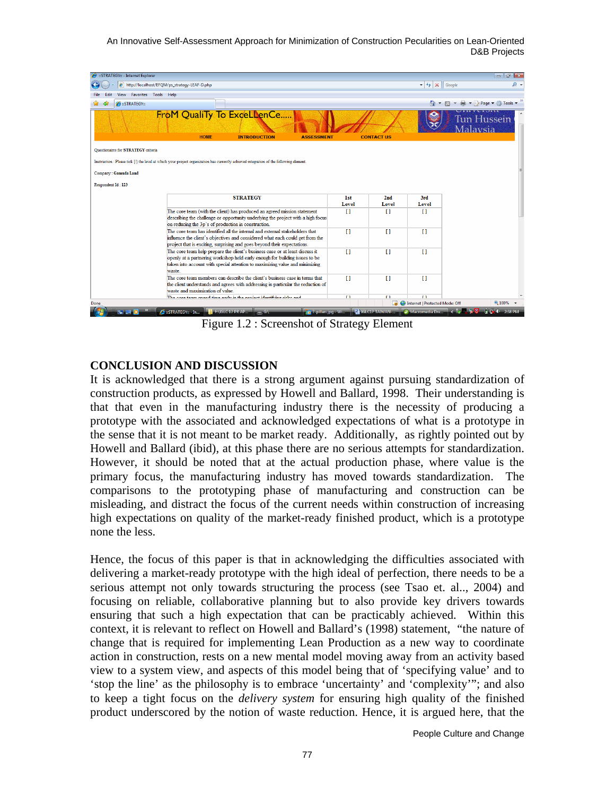An Innovative Self-Assessment Approach for Minimization of Construction Pecularities on Lean-Oriented D&B Projects



Figure 1.2 : Screenshot of Strategy Element

### **CONCLUSION AND DISCUSSION**

It is acknowledged that there is a strong argument against pursuing standardization of construction products, as expressed by Howell and Ballard, 1998. Their understanding is that that even in the manufacturing industry there is the necessity of producing a prototype with the associated and acknowledged expectations of what is a prototype in the sense that it is not meant to be market ready. Additionally, as rightly pointed out by Howell and Ballard (ibid), at this phase there are no serious attempts for standardization. However, it should be noted that at the actual production phase, where value is the primary focus, the manufacturing industry has moved towards standardization. The comparisons to the prototyping phase of manufacturing and construction can be misleading, and distract the focus of the current needs within construction of increasing high expectations on quality of the market-ready finished product, which is a prototype none the less.

Hence, the focus of this paper is that in acknowledging the difficulties associated with delivering a market-ready prototype with the high ideal of perfection, there needs to be a serious attempt not only towards structuring the process (see Tsao et. al.., 2004) and focusing on reliable, collaborative planning but to also provide key drivers towards ensuring that such a high expectation that can be practicably achieved. Within this context, it is relevant to reflect on Howell and Ballard's (1998) statement, "the nature of change that is required for implementing Lean Production as a new way to coordinate action in construction, rests on a new mental model moving away from an activity based view to a system view, and aspects of this model being that of 'specifying value' and to 'stop the line' as the philosophy is to embrace 'uncertainty' and 'complexity'"; and also to keep a tight focus on the *delivery system* for ensuring high quality of the finished product underscored by the notion of waste reduction. Hence, it is argued here, that the